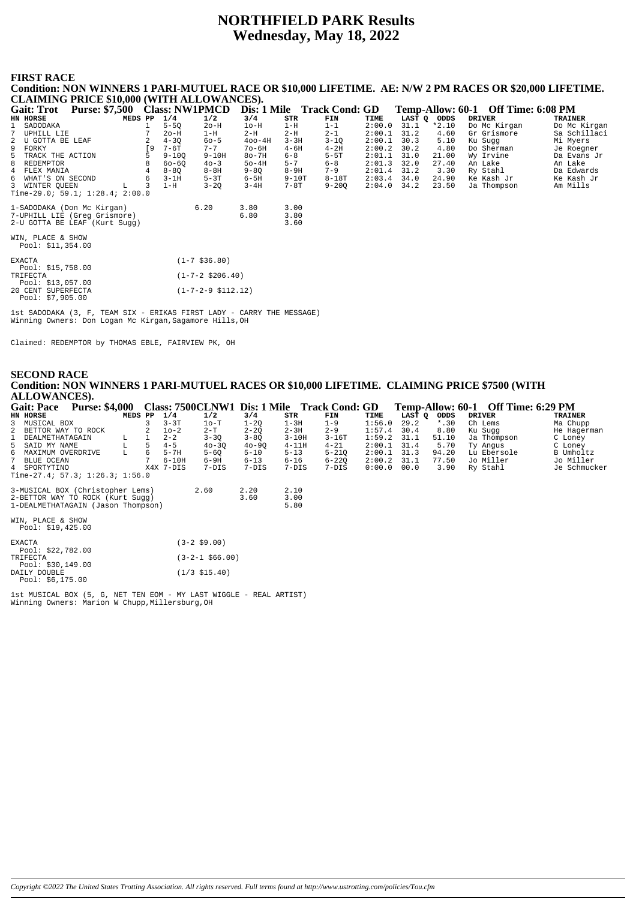# **NORTHFIELD PARK Results** Wednesday, May 18, 2022

#### **FIRST RACE**

Condition: NON WINNERS 1 PARI-MUTUEL RACE OR \$10,000 LIFETIME. AE: N/W 2 PM RACES OR \$20,000 LIFETIME. **CLAIMING PRICE \$10,000 (WITH ALLOWANCES).** Temp-Allow: 60-1 Off Time: 6:08 PM Gait: Trot Purse: \$7,500 Class: NW1PMCD Dis: 1 Mile Track Cond: GD  $\begin{array}{c}\n\textbf{FIN} \\
1-1 \\
2-1\n\end{array}$ HN HORSE MEDS PP  $1/4$ <br>5-50  $1/2$ <br>20-H  $3/4$ <br> $10-H$  $\begin{array}{c} \texttt{STR} \\ 1-H \end{array}$ TIME<br> $2:00.0$ **LAST** Q ODDS<br>31.1  $*2.10$ DRIVER<br>Do Mc Kirgan TRAINER<br>Do Mc Kirgan SADODAKA  $\frac{1}{7}$ TIPHTLL LIR  $2-H$ sa Schillaci  $\overline{7}$  $20 - \tilde{H}$  $1-H$  $2-H$  $2:00 \quad 1$  $312$  $4,60$ Gr Grismore  $\frac{2}{9}$ U GOTTA BE LEAF  $4 - 3Q$ <br>7-6T  $60 - 5$ <br>7-7  $400 - 4H$  $3 - 3H$  $3-1Q$  $2:00.1$  $30.3$  $5.10$ Sugg Mi Myers Ku  $\sqrt{9}$  $4 - 2H$  $2:00.2$ FORKY  $70 - 6H$  $4 - 6H$  $30.2$ 4.80 Do Sherman Je Roeaner  $\overline{5}$ TRACK THE ACTION Š  $9 - 10Q$  $9 - 10H$  $80 - 7H$  $6 - 8$  $5 - 5T$  $2:01.1$  $31.0$  $21.00$  $\bar{w}_Y$ Irvine Da Evans Jr  $50-4H$ <br> $9-8Q$ <br> $6-5H$  $2:01.3$ <br> $2:01.4$ <br> $2:03.4$  $27.40$ <br>3.30  $\mathsf{R}$ **REDEMPTOR**  $\mathsf{R}$  $60 - 60$  $40 - 3$  $5 - 7$  $6 - 8$  $32.0$ An Lake An Lake REDEMPIOR<br>FLEX MANIA<br>WHAT'S ON SECOND  $8 - 8H$ <br> $5 - 3T$  $8 - 9H$ <br> $9 - 10T$  $\frac{6}{4}$  $\frac{6}{4}$  $8 - 8Q$  $7 - 9$  $31.2$ Ry Stahl Da Edwards  $8 - 18T$  $\epsilon$  $\epsilon$  $3 - 1$ H  $34.0$  $2490$ Ke Kash Jr Ke Kash Jr 3 WINTER QUEEN L 3<br>Time-29.0; 59.1; 1:28.4; 2:00.0  $3 - 20$  $2:04.0$  $1-H$  $3 - 4H$  $7 - 8T$  $9 - 200$  $34.2$ 23.50 Ja Thompson Am Mills 1-SADODAKA (Don Mc Kirgan)  $3.00$ <br> $3.80$  $6.20$ 3.80 7-UPHILL LIE (Greg Grismore)<br>2-U GOTTA BE LEAF (Kurt Sugg)  $6.80$  $3.60$ WIN. PLACE & SHOW Pool: \$11,354.00 **EXACTA**  $(1-7$ \$36.80) Pool: \$15,758.00 TRIFECTA<br>Pool: \$13,057.00<br>20 CENT SUPERFECTA  $(1 - 7 - 2 \ $206.40)$  $(1 - 7 - 2 - 9 \cdot $112.12)$ Pool: \$7,905.00

1st SADODAKA (3, F, TEAM SIX - ERIKAS FIRST LADY - CARRY THE MESSAGE) Winning Owners: Don Logan Mc Kirgan, Sagamore Hills, OH

Claimed: REDEMPTOR by THOMAS EBLE, FAIRVIEW PK, OH

#### **SECOND RACE** Condition: NON WINNERS 1 PARI-MUTUEL RACES OR \$10,000 LIFETIME. CLAIMING PRICE \$7500 (WITH **ALLOWANCES).** Class: 7500CLNW1 Dis: 1 Mile Gait: Pace Purse: \$4,000 **Track Cond: GD** Off Time: 6:29 PM Temp-Allow: 60-1 MEDS PP DRIVER  $\frac{1}{\text{STR}}$ HN HORSE  $\frac{1}{1}$ /4  $1/2$  $3/4$ **FTN TTME** LAST Q ODDS **TRATNER** MUSICAL BOX<br>MUSICAL BOX<br>BETTOR WAY TO ROCK  $\frac{1-20}{2-20}$  $3 - 3T$  $10-T$  $1 - 3H$ <br> $2 - 3H$  $29.2$  $*$  30  $\frac{3}{2}$ 3  $1 - 9$  $1:56.0$ Ch Lems Ma Chupp  $8.80$ Ku Sugg<br>Ja Thompson  $\mathcal{D}$  $10 - 2$  $2 - T$  $2 - 9$  $1:57.4$  $30A$ He Hagerman DEALMETHATAGAIN  $\bar{\mathbf{L}}$  $\frac{1}{1}$  $\frac{1}{2-2}$  $3 - 3Q$  $3 - 8Q$  $3 - 10H$  $3 - 16T$  $1:59.2$  $31.1$  $51.10$ ne nage  $\overline{1}$ SAID MY NAME<br>MAXIMUM OVERDRIVE  $31.4$ <br>31.3 Ty Angus<br>Lu Ebersole C Loney<br>B Umholtz  $\sqrt{2}$  $T$ .  $\sqrt{2}$  $4 - 5$  $40 - 30$  $40 - 90$  $4 - 11H$  $4 - 21$  $2:001$ 5.70  $\overline{6}$  $\overline{L}$  $\tilde{6}$  $5 - 7H$  $5 - 60$  $5 - 10$  $5 - 13$  $5 - 210$  $2:00.1$  $94.20$  $6-9H$ <br> $7-DIS$  $6 - 13$ <br>7-DIS  $6 - 16$ <br>7-DIS  $6 - 220$ <br>7-DIS  $2:00.2$ <br> $0:00.0$  $\overline{7}$ BLIJE OCEAN  $\overline{7}$  $6 - 10H$  $311$ 77.50 Jo Miller Jo Miller  $\overline{X}$   $\overline{7}$   $\overline{7}$   $\overline{D}$   $\overline{1}$   $\overline{S}$ SPORTYTINO  $00.0$  $3.90$ Je Schmucker Ry Stahl  $\frac{1}{2}$  me-27.4; 57.3; 1:26.3; 1:56.0 3-MUSICAL BOX (Christopher Lems)<br>2-BETTOR WAY TO ROCK (Kurt Sugg)  $\frac{2.10}{3.00}$  $2.60$  $2.20$  $3.60$ 1-DEALMETHATAGAIN (Jason Thompson) 5.80 WIN. PLACE & SHOW Pool: \$19,425.00 **EXACTA**  $(3-2$ \$9.00) Pool: \$22,782.00 TRIFECTA<br>Pool: \$30,149.00  $(3-2-1$ \$66.00) DAILY DOUBLE<br>Pool: \$6,175.00  $(1/3$  \$15.40)

 ${\tt lat}$  MUSICAL BOX (5, G, NET TEN EOM – MY LAST WIGGLE – REAL ARTIST) Winning Owners: Marion W Chupp, Millersburg, OH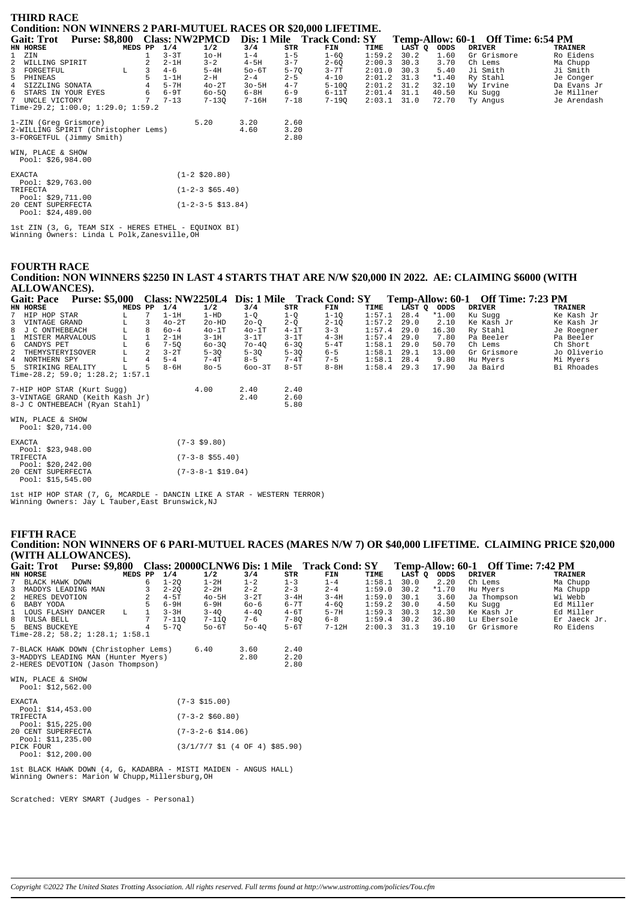| <b>THIRD RACE</b><br><b>Condition: NON WINNERS 2 PARI-MUTUEL RACES OR \$20,000 LIFETIME.</b> |         |   |          |                             |           |              |                            |        |        |         |                                    |                |
|----------------------------------------------------------------------------------------------|---------|---|----------|-----------------------------|-----------|--------------|----------------------------|--------|--------|---------|------------------------------------|----------------|
| Purse: \$8,800 Class: NW2PMCD<br><b>Gait: Trot</b>                                           |         |   |          |                             |           |              | Dis: 1 Mile Track Cond: SY |        |        |         | Temp-Allow: 60-1 Off Time: 6:54 PM |                |
| HN HORSE                                                                                     | MEDS PP |   | 1/4      | 1/2                         | 3/4       | STR          | FIN                        | TIME   | LAST Q | ODDS    | <b>DRIVER</b>                      | <b>TRAINER</b> |
| $\mathbf{1}$<br>ZIN                                                                          |         |   | $3 - 3T$ | $1o-H$                      | $1 - 4$   | $1 - 5$      | $1-6Q$                     | 1:59.2 | 30.2   | 1.60    | Gr Grismore                        | Ro Eidens      |
| 2 WILLING SPIRIT                                                                             |         |   | $2 - 1H$ | $3 - 2$                     | $4-5H$    | $3 - 7$      | $2 - 6Q$                   | 2:00.3 | 30.3   | 3.70    | Ch Lems                            | Ma Chupp       |
| $\overline{3}$<br>FORGETFUL                                                                  | L       | 3 | $4 - 6$  | $5 - 4H$                    | $50-6T$   | $5 - 70$     | $3 - 7T$                   | 2:01.0 | 30.3   | 5.40    | Ji Smith                           | Ji Smith       |
| 5 PHINEAS                                                                                    |         |   | $1-1H$   | $2-H$                       | $2 - 4$   | $2 - 5$      | $4 - 10$                   | 2:01.2 | 31.3   | $*1.40$ | Ry Stahl                           | Je Conger      |
| 4<br>SIZZLING SONATA                                                                         |         |   | $5-7H$   | $40-2T$                     | $30 - 5H$ | $4 - 7$      | $5 - 100$                  | 2:01.2 | 31.2   | 32.10   | Wy Irvine                          | Da Evans Jr    |
| 6<br>STARS IN YOUR EYES                                                                      |         | 6 | $6-9T$   | $60 - 50$                   | $6-8H$    | $6 - 9$      | $6-11T$                    | 2:01.4 | 31.1   | 40.50   | Ku Sugg                            | Je Millner     |
| 7 UNCLE VICTORY                                                                              |         | 7 | $7 - 13$ | $7 - 130$                   | $7 - 16H$ | $7 - 18$     | 7-190                      | 2:03.1 | 31.0   | 72.70   | Ty Angus                           | Je Arendash    |
| Time-29.2; $1:00.0; 1:29.0; 1:59.2$                                                          |         |   |          |                             |           |              |                            |        |        |         |                                    |                |
| 1-ZIN (Greg Grismore)                                                                        |         |   |          | 5.20                        | 3.20      | 2.60         |                            |        |        |         |                                    |                |
| 2-WILLING SPIRIT (Christopher Lems)<br>3-FORGETFUL (Jimmy Smith)                             |         |   |          |                             | 4.60      | 3.20<br>2.80 |                            |        |        |         |                                    |                |
| WIN, PLACE & SHOW<br>Pool: $$26,984.00$                                                      |         |   |          |                             |           |              |                            |        |        |         |                                    |                |
| <b>EXACTA</b><br>Pool: $$29,763.00$                                                          |         |   |          | $(1-2 \, $20.80)$           |           |              |                            |        |        |         |                                    |                |
| TRIFECTA<br>Pool: $$29,711.00$                                                               |         |   |          | $(1-2-3 \; $65.40)$         |           |              |                            |        |        |         |                                    |                |
| 20 CENT SUPERFECTA<br>Pool: $$24,489.00$                                                     |         |   |          | $(1-2-3-5 \text{ } $13.84)$ |           |              |                            |        |        |         |                                    |                |

lst ZIN (3, G, TEAM SIX - HERES ETHEL - EQUINOX BI)<br>Winning Owners: Linda L Polk,Zanesville,OH

**FOURTH RACE** 

Condition: NON WINNERS \$2250 IN LAST 4 STARTS THAT ARE N/W \$20,000 IN 2022. AE: CLAIMING \$6000 (WITH **ALLOWANCES).** 

| <b>Gait: Pace</b>                       | <b>Purse: \$5,000</b>           |         |                |          |           | Class: NW2250L4 Dis: 1 Mile Track Cond: SY |          |          |        |             |       | Temp-Allow: 60-1 Off Time: 7:23 PM |                |
|-----------------------------------------|---------------------------------|---------|----------------|----------|-----------|--------------------------------------------|----------|----------|--------|-------------|-------|------------------------------------|----------------|
| HN HORSE                                |                                 | MEDS PP |                | 1/4      | 1/2       | 3/4                                        | STR      | FIN      | TIME   | LAST Q ODDS |       | <b>DRIVER</b>                      | <b>TRAINER</b> |
| 7 HIP HOP STAR                          |                                 | L       |                | $1-1H$   | 1-HD      | $1 - Q$                                    | $1-Q$    | $1 - 10$ | 1:57.1 | 28.4        | *1.00 | Ku Suqq                            | Ke Kash Jr     |
| 3 VINTAGE GRAND                         |                                 | L       | 3              | $40-2T$  | $2o-HD$   | $20 - 0$                                   | $2 - 0$  | $2 - 10$ | 1:57.2 | 29.0        | 2.10  | Ke Kash Jr                         | Ke Kash Jr     |
| 8 J C ONTHEBEACH                        |                                 | L       | 8              | $60 - 4$ | $40-1T$   | $40-1T$                                    | $4-1T$   | $3 - 3$  | 1:57.4 | 29.0        | 16.30 | Ry Stahl                           | Je Roegner     |
| 1 MISTER MARVALOUS                      |                                 | L       |                | $2-1H$   | $3-1H$    | $3-1T$                                     | $3-1T$   | $4-3H$   | 1:57.4 | 29.0        | 7.80  | Pa Beeler                          | Pa Beeler      |
| 6 CANDYS PET                            |                                 | L       | 6              | $7 - 50$ | $60 - 30$ | $70 - 40$                                  | $6 - 30$ | $5-4T$   | 1:58.1 | 29.0        | 50.70 | Ch Lems                            | Ch Short       |
| 2 THEMYSTERYISOVER                      |                                 | L       | 2              | $3-2T$   | $5 - 30$  | $5 - 30$                                   | $5 - 30$ | $6 - 5$  | 1:58.1 | 29.1        | 13.00 | Gr Grismore                        | Jo Oliverio    |
| 4 NORTHERN SPY                          |                                 | L       | $\overline{4}$ | $5 - 4$  | $7 - 4T$  | $8 - 5$                                    | $7-4T$   | $7 - 5$  | 1:58.1 | 28.4        | 9.80  | Hu Myers                           | Mi Myers       |
| 5 STRIKING REALITY                      |                                 | L       | 5              | $8 - 6H$ | $80 - 5$  | $600-3T$                                   | $8-5T$   | $8-8H$   | 1:58.4 | 29.3        | 17.90 | Ja Baird                           | Bi Rhoades     |
|                                         | Time-28.2; 59.0; 1:28.2; 1:57.1 |         |                |          |           |                                            |          |          |        |             |       |                                    |                |
|                                         | 7-HIP HOP STAR (Kurt Sugg)      |         |                |          | 4.00      | 2.40                                       | 2.40     |          |        |             |       |                                    |                |
|                                         | 3-VINTAGE GRAND (Keith Kash Jr) |         |                |          |           | 2.40                                       | 2.60     |          |        |             |       |                                    |                |
|                                         | 8-J C ONTHEBEACH (Ryan Stahl)   |         |                |          |           |                                            | 5.80     |          |        |             |       |                                    |                |
| WIN, PLACE & SHOW<br>Pool: $$20,714.00$ |                                 |         |                |          |           |                                            |          |          |        |             |       |                                    |                |
|                                         |                                 |         |                |          |           |                                            |          |          |        |             |       |                                    |                |

| <b>EXACTA</b><br>Pool: $$23,948.00$      | $(7-3 \text{ }59.80)$     |
|------------------------------------------|---------------------------|
| TRIFECTA                                 | $(7-3-8 \text{ } $55.40)$ |
| Pool: $$20.242.00$<br>20 CENT SUPERFECTA | $(7-3-8-1 \ $19.04)$      |
| Pool: $$15,545.00$                       |                           |

 $1st$  HIP HOP STAR  $(7,\;G,\;MCARDLE$  – DANCIN LIKE A STAR – WESTERN TERROR) Winning Owners: Jay L Tauber, East Brunswick, NJ

# **FIFTH RACE** Condition: NON WINNERS OF 6 PARI-MUTUEL RACES (MARES N/W 7) OR \$40,000 LIFETIME. CLAIMING PRICE \$20,000 (WITH ALLOWANCES).

| <b>Purse: \$9,800</b><br>Gait: Trot                             |         |   |           |                                                                             |           |            | Class: 20000CLNW6 Dis: 1 Mile Track Cond: SY |        |        |       | Temp-Allow: 60-1 Off Time: 7:42 PM |                |
|-----------------------------------------------------------------|---------|---|-----------|-----------------------------------------------------------------------------|-----------|------------|----------------------------------------------|--------|--------|-------|------------------------------------|----------------|
| HN HORSE                                                        | MEDS PP |   | 1/4       | 1/2                                                                         | 3/4       | <b>STR</b> | FIN                                          | TIME   | LAST O | ODDS  | <b>DRIVER</b>                      | <b>TRAINER</b> |
| BLACK HAWK DOWN                                                 |         | 6 | $1 - 20$  | $1-2H$                                                                      | $1 - 2$   | $1 - 3$    | $1 - 4$                                      | 1:58.1 | 30.0   | 2.20  | Ch Lems                            | Ma Chupp       |
| 3 MADDYS LEADING MAN                                            |         |   | $2 - 20$  | $2 - 2H$                                                                    | $2 - 2$   | $2 - 3$    | $2 - 4$                                      | 1:59.0 | 30.2   | *1.70 | Hu Myers                           | Ma Chupp       |
| 2<br>HERES DEVOTION                                             |         |   | $4-5T$    | $40 - 5H$                                                                   | $3-2T$    | $3 - 4H$   | $3 - 4H$                                     | 1:59.0 | 30.1   | 3.60  | Ja Thompson                        | Wi Webb        |
| 6 BABY YODA                                                     |         |   | $6-9H$    | $6-9H$                                                                      | $60 - 6$  | $6 - 7T$   | $4 - 60$                                     | 1:59.2 | 30.0   | 4.50  | Ku Sugg                            | Ed Miller      |
| 1 LOUS FLASHY DANCER                                            | L       |   | $3 - 3H$  | $3 - 40$                                                                    | $4 - 4Q$  | $4-6T$     | $5 - 7H$                                     | 1:59.3 | 30.3   | 12.30 | Ke Kash Jr                         | Ed Miller      |
| 8 TULSA BELL                                                    |         |   | $7 - 110$ | $7 - 110$                                                                   | $7 - 6$   | $7 - 80$   | $6 - 8$                                      | 1:59.4 | 30.2   | 36.80 | Lu Ebersole                        | Er Jaeck Jr.   |
| 5 BENS BUCKEYE                                                  |         |   | $5 - 70$  | $50-6T$                                                                     | $50 - 40$ | $5-6T$     | $7 - 12H$                                    | 2:00.3 | 31.3   | 19.10 | Gr Grismore                        | Ro Eidens      |
| Time-28.2; $58.2$ ; $1:28.1$ ; $1:58.1$                         |         |   |           |                                                                             |           |            |                                              |        |        |       |                                    |                |
| 7-BLACK HAWK DOWN (Christopher Lems)                            |         |   |           | 6.40                                                                        | 3.60      | 2.40       |                                              |        |        |       |                                    |                |
| 3-MADDYS LEADING MAN (Hunter Myers)                             |         |   |           |                                                                             | 2.80      | 2.20       |                                              |        |        |       |                                    |                |
| 2-HERES DEVOTION (Jason Thompson)                               |         |   |           |                                                                             |           | 2.80       |                                              |        |        |       |                                    |                |
|                                                                 |         |   |           |                                                                             |           |            |                                              |        |        |       |                                    |                |
| WIN, PLACE & SHOW                                               |         |   |           |                                                                             |           |            |                                              |        |        |       |                                    |                |
| Pool: $$12,562.00$                                              |         |   |           |                                                                             |           |            |                                              |        |        |       |                                    |                |
| <b>EXACTA</b>                                                   |         |   |           | $(7-3$ \$15.00)                                                             |           |            |                                              |        |        |       |                                    |                |
| Pool: \$14,453.00                                               |         |   |           |                                                                             |           |            |                                              |        |        |       |                                    |                |
| TRIFECTA                                                        |         |   |           | $(7-3-2$ \$60.80)                                                           |           |            |                                              |        |        |       |                                    |                |
| Pool: $$15,225.00$                                              |         |   |           |                                                                             |           |            |                                              |        |        |       |                                    |                |
| 20 CENT SUPERFECTA                                              |         |   |           | $(7-3-2-6 \ $14.06)$                                                        |           |            |                                              |        |        |       |                                    |                |
| Pool: $$11,235.00$                                              |         |   |           |                                                                             |           |            |                                              |        |        |       |                                    |                |
| PICK FOUR                                                       |         |   |           | $(3/1/7/7 \text{ } $1 \text{ } (4 \text{ } 0F \text{ } 4) \text{ } $85.90)$ |           |            |                                              |        |        |       |                                    |                |
| Pool: $$12,200.00$                                              |         |   |           |                                                                             |           |            |                                              |        |        |       |                                    |                |
|                                                                 |         |   |           |                                                                             |           |            |                                              |        |        |       |                                    |                |
| 1st BLACK HAWK DOWN (4, G, KADABRA - MISTI MAIDEN - ANGUS HALL) |         |   |           |                                                                             |           |            |                                              |        |        |       |                                    |                |

Winning Owners: Marion W Chupp, Millersburg, OH

Scratched: VERY SMART (Judges - Personal)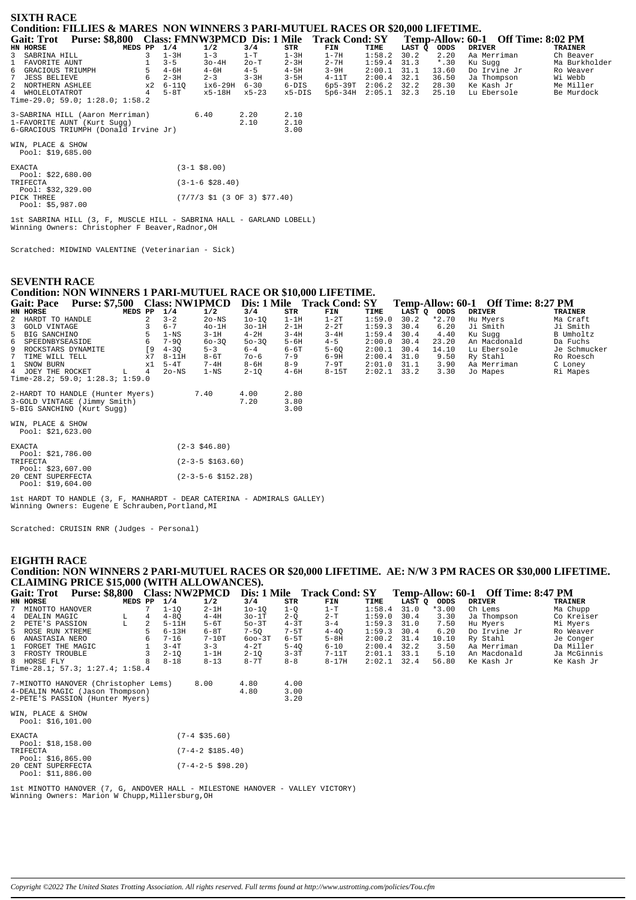| <b>SIXTH RACE</b>                                                                |         |           |                                                                           |           |          |             |        |                  |                          |                |
|----------------------------------------------------------------------------------|---------|-----------|---------------------------------------------------------------------------|-----------|----------|-------------|--------|------------------|--------------------------|----------------|
| Condition: FILLIES & MARES NON WINNERS 3 PARI-MUTUEL RACES OR \$20,000 LIFETIME. |         |           |                                                                           |           |          |             |        |                  |                          |                |
| Purse: \$8,800 Class: FMNW3PMCD Dis: 1 Mile Track Cond: SY<br><b>Gait: Trot</b>  |         |           |                                                                           |           |          |             |        | Temp-Allow: 60-1 | <b>Off Time: 8:02 PM</b> |                |
| HN HORSE                                                                         | MEDS PP | 1/4       | 1/2                                                                       | 3/4       | STR      | FIN         | TIME   | LAST Q<br>ODDS   | <b>DRIVER</b>            | <b>TRAINER</b> |
| 3 SABRINA HILL                                                                   | 3       | $1-3H$    | $1 - 3$                                                                   | $1-T$     | $1-3H$   | $1-7H$      | 1:58.2 | 30.2<br>2.20     | Aa Merriman              | Ch Beaver      |
| FAVORITE AUNT                                                                    |         | $3 - 5$   | $30 - 4H$                                                                 | $2o-T$    | $2 - 3H$ | $2 - 7H$    | 1:59.4 | $*$ .30<br>31.3  | Ku Suqq                  | Ma Burkholder  |
| GRACIOUS TRIUMPH<br>6                                                            |         | $4 - 6H$  | $4 - 6H$                                                                  | $4 - 5$   | $4-5H$   | $3-9H$      | 2:00.1 | 31.1<br>13.60    | Do Irvine Jr             | Ro Weaver      |
| 7 JESS BELIEVE                                                                   |         | $2 - 3H$  | $2 - 3$                                                                   | $3 - 3H$  | $3-5H$   | $4-11T$     | 2:00.4 | 36.50<br>32.1    | Ja Thompson              | Wi Webb        |
| 2 NORTHERN ASHLEE                                                                | x2      | $6 - 110$ | $ix6-29H$                                                                 | $6 - 30$  | $6-DIS$  | $6p5-39T$   | 2:06.2 | 32.2<br>28.30    | Ke Kash Jr               | Me Miller      |
| 4 WHOLELOTATROT                                                                  | 4       | $5-8T$    | x5-18H                                                                    | $x5 - 23$ | x5-DIS   | $5p6 - 34H$ | 2:05.1 | 32.3<br>25.10    | Lu Ebersole              | Be Murdock     |
| Time-29.0; 59.0; 1:28.0; 1:58.2                                                  |         |           |                                                                           |           |          |             |        |                  |                          |                |
| 3-SABRINA HILL (Aaron Merriman)                                                  |         |           | 6.40                                                                      | 2.20      | 2.10     |             |        |                  |                          |                |
| 1-FAVORITE AUNT (Kurt Sugg)                                                      |         |           |                                                                           | 2.10      | 2.10     |             |        |                  |                          |                |
| 6-GRACIOUS TRIUMPH (Donald Irvine Jr)                                            |         |           |                                                                           |           | 3.00     |             |        |                  |                          |                |
|                                                                                  |         |           |                                                                           |           |          |             |        |                  |                          |                |
| WIN, PLACE & SHOW                                                                |         |           |                                                                           |           |          |             |        |                  |                          |                |
| Pool: \$19,685.00                                                                |         |           |                                                                           |           |          |             |        |                  |                          |                |
|                                                                                  |         |           |                                                                           |           |          |             |        |                  |                          |                |
| <b>EXACTA</b>                                                                    |         |           | $(3-1$ \$8.00)                                                            |           |          |             |        |                  |                          |                |
| Pool: \$22,680.00                                                                |         |           |                                                                           |           |          |             |        |                  |                          |                |
| TRIFECTA                                                                         |         |           | $(3-1-6 \; $28.40)$                                                       |           |          |             |        |                  |                          |                |
| Pool: $$32,329.00$<br>PICK THREE                                                 |         |           | $(7/7/3 \text{ } $1 \text{ } (3 \text{ } 0F \text{ } 3) \text{ } $77.40)$ |           |          |             |        |                  |                          |                |
| Pool: $$5,987.00$                                                                |         |           |                                                                           |           |          |             |        |                  |                          |                |
|                                                                                  |         |           |                                                                           |           |          |             |        |                  |                          |                |
|                                                                                  |         |           |                                                                           |           |          |             |        |                  |                          |                |

1st SABRINA HILL (3, F, MUSCLE HILL - SABRINA HALL - GARLAND LOBELL) Winning Owners: Christopher F Beaver, Radnor, OH

Scratched: MIDWIND VALENTINE (Veterinarian - Sick)

### **SEVENTH RACE** Condition: NON WINNERS 1 PARI-MUTUEL RACE OR \$10,000 LIFETIME.

| <b>Gait: Pace</b>    | <b>Purse: \$7,500</b>                |         |            |          | <b>Class: NW1PMCD</b> |           |          | Dis: 1 Mile Track Cond: SY |        |        |         | Temp-Allow: 60-1 Off Time: 8:27 PM |                |
|----------------------|--------------------------------------|---------|------------|----------|-----------------------|-----------|----------|----------------------------|--------|--------|---------|------------------------------------|----------------|
| HN HORSE             |                                      | MEDS PP |            | 1/4      | 1/2                   | 3/4       | STR      | FIN                        | TIME   | LAST Q | ODDS    | <b>DRIVER</b>                      | <b>TRAINER</b> |
| 2 HARDT TO HANDLE    |                                      |         |            | $3 - 2$  | $2o$ -NS              | $10 - 10$ | $1-1H$   | $1-2T$                     | 1:59.0 | 30.2   | $*2.70$ | Hu Mvers                           | Ma Craft       |
| 3 GOLD VINTAGE       |                                      |         |            | $6 - 7$  | $4o-1H$               | $3o-1H$   | $2-1H$   | $2 - 2T$                   | 1:59.3 | 30.4   | 6.20    | Ji Smith                           | Ji Smith       |
| 5 BIG SANCHINO       |                                      |         |            | 1-NS     | $3-1H$                | $4-2H$    | $3 - 4H$ | $3 - 4H$                   | 1:59.4 | 30.4   | 4.40    | Ku Sugg                            | B Umholtz      |
| 6 SPEEDNBYSEASIDE    |                                      |         | 6          | $7 - 90$ | $60 - 30$             | $50 - 30$ | $5 - 6H$ | $4 - 5$                    | 2:00.0 | 30.4   | 23.20   | An Macdonald                       | Da Fuchs       |
| 9 ROCKSTARS DYNAMITE |                                      |         | 0°         | $4 - 30$ | $5 - 3$               | $6 - 4$   | $6 - 6T$ | $5 - 60$                   | 2:00.1 | 30.4   | 14.10   | Lu Ebersole                        | Je Schmucker   |
| 7 TIME WILL TELL     |                                      |         | x7         | $8-11H$  | $8 - 6T$              | $70 - 6$  | $7 - 9$  | $6-9H$                     | 2:00.4 | 31.0   | 9.50    | Ry Stahl                           | Ro Roesch      |
| 1 SNOW BURN          |                                      |         | $\times$ 1 | $5-4T$   | $7 - 4H$              | $8 - 6H$  | $8 - 9$  | $7-9T$                     | 2:01.0 | 31.1   | 3.90    | Aa Merriman                        | C Loney        |
| 4 JOEY THE ROCKET    |                                      | т.      | 4          | $2o$ -NS | $1 - NS$              | $2 - 10$  | $4-6H$   | $8 - 15T$                  | 2:02.1 | 33.2   | 3.30    | Jo Mapes                           | Ri Mapes       |
|                      | Time-28.2; 59.0; $1:28.3$ ; $1:59.0$ |         |            |          |                       |           |          |                            |        |        |         |                                    |                |
|                      | 2-HARDT TO HANDLE (Hunter Myers)     |         |            |          | 7.40                  | 4.00      | 2.80     |                            |        |        |         |                                    |                |
|                      | 3-GOLD VINTAGE (Jimmy Smith)         |         |            |          |                       | 7.20      | 3.80     |                            |        |        |         |                                    |                |
|                      | 5-BIG SANCHINO (Kurt Sugg)           |         |            |          |                       |           | 3.00     |                            |        |        |         |                                    |                |

| 3-GOLD VINTAGE (Jimmy Smith)<br>5-BIG SANCHINO (Kurt Sugg) | -7.20                          |
|------------------------------------------------------------|--------------------------------|
| WIN, PLACE & SHOW<br>Pool: \$21,623.00                     |                                |
| <b>EXACTA</b><br>Pool: $$21,786.00$                        | $(2 - 3 \, $46.80)$            |
| TRIFECTA<br>Pool: $$23,607.00$                             | $(2 - 3 - 5 \text{ } $163.60)$ |
| 20 CENT SUPERFECTA<br>Pool: \$19,604.00                    | $(2-3-5-6 \$152.28)$           |

1st HARDT TO HANDLE (3, F, MANHARDT - DEAR CATERINA - ADMIRALS GALLEY)<br>Winning Owners: Eugene E Schrauben, Portland, MI

Scratched: CRUISIN RNR (Judges - Personal)

#### **EIGHTH RACE**

Condition: NON WINNERS 2 PARI-MUTUEL RACES OR \$20,000 LIFETIME. AE: N/W 3 PM RACES OR \$30,000 LIFETIME. **CLAIMING PRICE \$15,000 (WITH ALLOWANCES).**<br>Coit: Tret. Purso: \$8,800. Close: NW2DMCD, Dist. 1 Mile Tuesde Cond. CV Tomn Allow 60 1 Off Time: 8:47 PM

| Gail: Trou                                                                                                 |         |           | <b>Class: NWZPMCD</b> | DIS: 1 MILE  |                      | <b>Track Cond: 5 Y</b> |        |        |         | Temp-Allow: 00-1 UII Time: 8:4/ PM |                |
|------------------------------------------------------------------------------------------------------------|---------|-----------|-----------------------|--------------|----------------------|------------------------|--------|--------|---------|------------------------------------|----------------|
| HN HORSE                                                                                                   | MEDS PP | 1/4       | 1/2                   | 3/4          | STR                  | FIN                    | TIME   | LAST Q | ODDS    | DRIVER                             | <b>TRAINER</b> |
| MINOTTO HANOVER                                                                                            |         | $1 - 10$  | $2-1H$                | $10 - 10$    | $1-Q$                | $1-T$                  | 1:58.4 | 31.0   | $*3.00$ | Ch Lems                            | Ma Chupp       |
| 4 DEALIN MAGIC<br>L                                                                                        | 4       | $4 - 80$  | $4-4H$                | 30-1T        | $2 - Q$              | 2-T                    | 1:59.0 | 30.4   | 3.30    | Ja Thompson                        | Co Kreiser     |
| г<br>2 PETE'S PASSION                                                                                      | 2       | $5 - 11H$ | $5-6T$                | $50-3T$      | $4-3T$               | $3 - 4$                | 1:59.3 | 31.0   | 7.50    | Hu Myers                           | Mi Myers       |
| 5 ROSE RUN XTREME                                                                                          | 5.      | $6 - 13H$ | $6 - 8T$              | $7 - 50$     | $7 - 5T$             | $4 - 40$               | 1:59.3 | 30.4   | 6.20    | Do Irvine Jr                       | Ro Weaver      |
| 6 ANASTASIA NERO                                                                                           | 6       | $7 - 16$  | $7-10T$               | $600 - 3T$   | $6-5T$               | $5 - 8H$               | 2:00.2 | 31.4   | 10.10   | Ry Stahl                           | Je Conger      |
| FORGET THE MAGIC<br>$\mathbf{1}$                                                                           |         | $3 - 4T$  | $3 - 3$               | $4-2T$       | $5 - 40$             | $6 - 10$               | 2:00.4 | 32.2   | 3.50    | Aa Merriman                        | Da Miller      |
| 3 FROSTY TROUBLE                                                                                           |         | $2 - 10$  | $1-1H$                | $2 - 10$     | $3 - 3T$             | $7-11T$                | 2:01.1 | 33.1   | 5.10    | An Macdonald                       | Ja McGinnis    |
| 8 HORSE FLY                                                                                                | 8       | $8 - 18$  | $8 - 13$              | $8-7T$       | $8 - 8$              | $8 - 17H$              | 2:02.1 | 32.4   | 56.80   | Ke Kash Jr                         | Ke Kash Jr     |
| Time-28.1; 57.3; $1:27.4$ ; $1:58.4$                                                                       |         |           |                       |              |                      |                        |        |        |         |                                    |                |
| 7-MINOTTO HANOVER (Christopher Lems)<br>4-DEALIN MAGIC (Jason Thompson)<br>2-PETE'S PASSION (Hunter Myers) |         |           | 8.00                  | 4.80<br>4.80 | 4.00<br>3.00<br>3.20 |                        |        |        |         |                                    |                |
| WIN, PLACE & SHOW<br>Pool: $$16,101.00$                                                                    |         |           |                       |              |                      |                        |        |        |         |                                    |                |
| EXACTA<br>Pool: $$18,158.00$                                                                               |         |           | $(7-4$ \$35.60)       |              |                      |                        |        |        |         |                                    |                |
| TRIFECTA                                                                                                   |         |           | $(7-4-2 \; $185.40)$  |              |                      |                        |        |        |         |                                    |                |

Pool: \$16,865.00<br>20 CENT SUPERFECTA<br>Pool: \$11,886.00  $(7-4-2-5 \text{ } $98.20)$ 

1st MINOTTO HANOVER (7, G, ANDOVER HALL - MILESTONE HANOVER - VALLEY VICTORY)<br>Winning Owners: Marion W Chupp, Millersburg, OH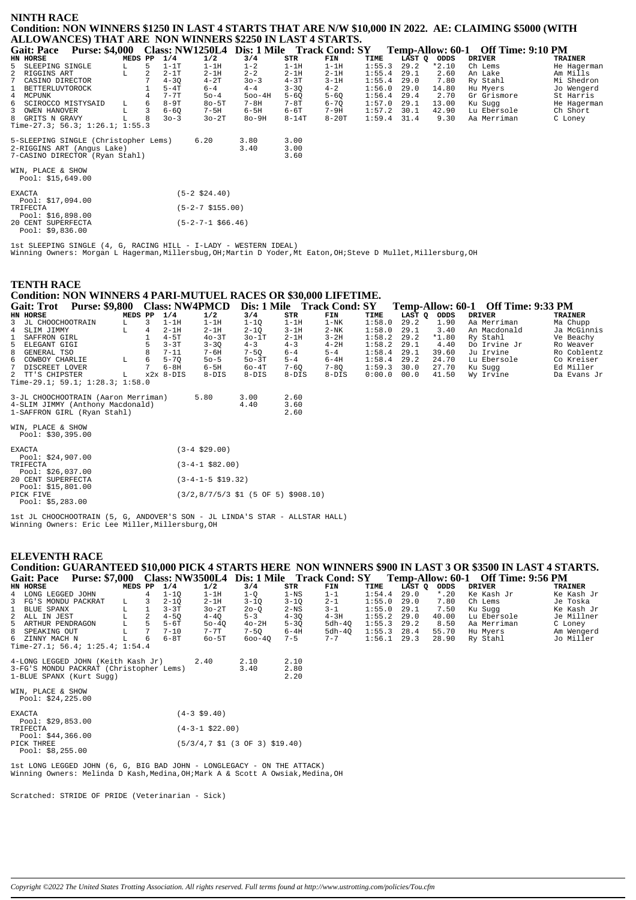### **NINTH RACE Condition: NON WINNERS \$1250 IN LAST 4 STARTS THAT ARE N/W \$10,000 IN 2022. AE: CLAIMING \$5000 (WITH ALLOWANCES) THAT ARE NON WINNERS \$2250 IN LAST 4 STARTS.**

|             | <b>Gait: Pace</b>                      | <b>Purse: \$4,000</b> |        |         |                |          | <b>Class: NW1250L4</b> | Dis: 1 Mile Track Cond: SY |          |          |        |             |         | Temp-Allow: 60-1 Off Time: 9:10 PM |                |
|-------------|----------------------------------------|-----------------------|--------|---------|----------------|----------|------------------------|----------------------------|----------|----------|--------|-------------|---------|------------------------------------|----------------|
|             | HN HORSE                               |                       |        | MEDS PP |                | 1/4      | 1/2                    | 3/4                        | STR      | FIN      | TIME   | LAST Q ODDS |         | <b>DRIVER</b>                      | <b>TRAINER</b> |
|             | 5 SLEEPING SINGLE                      |                       | L<br>L |         | 5              | $1-1T$   | $1-1H$                 | $1 - 2$                    | $1-1H$   | $1-1H$   | 1:55.3 | 29.2        | $*2.10$ | Ch Lems                            | He Hagerman    |
|             | 2 RIGGINS ART                          |                       |        |         | $\mathfrak{D}$ | $2-1T$   | $2-1H$                 | $2 - 2$                    | $2 - 1H$ | $2-1H$   | 1:55.4 | 29.1        | 2.60    | An Lake                            | Am Mills       |
| $7^{\circ}$ | CASINO DIRECTOR                        |                       |        |         |                | $4 - 30$ | $4-2T$                 | $30 - 3$                   | $4-3T$   | $3-1H$   | 1:55.4 | 29.0        | 7.80    | Ry Stahl                           | Mi Shedron     |
|             | 1 BETTERLUVTOROCK                      |                       |        |         |                | $5-4T$   | $6 - 4$                | $4 - 4$                    | $3 - 30$ | $4 - 2$  | 1:56.0 | 29.0        | 14.80   | Hu Myers                           | Jo Wengerd     |
|             | 4 MCPUNK                               |                       |        |         |                | $7 - 7T$ | $50 - 4$               | $500 - 4H$                 | $5 - 60$ | $5 - 6Q$ | 1:56.4 | 29.4        | 2.70    | Gr Grismore                        | St Harris      |
|             | 6 SCIROCCO MISTYSAID                   |                       | L      |         | 6              | $8-9T$   | $80 - 5T$              | $7-8H$                     | $7-8T$   | $6 - 7Q$ | 1:57.0 | 29.1        | 13.00   | Ku Sugg                            | He Hagerman    |
| 3           | OWEN HANOVER                           |                       |        |         | 3              | $6 - 60$ | $7-5H$                 | $6-5H$                     | 6-6T     | 7-9H     | 1:57.2 | 30.1        | 42.90   | Lu Ebersole                        | Ch Short       |
|             | 8 GRITS N GRAVY                        |                       |        |         |                | $30 - 3$ | $30-2T$                | $8o-9H$                    | $8-14T$  | $8-20T$  | 1:59.4 | 31.4        | 9.30    | Aa Merriman                        | C Loney        |
|             | Time-27.3; 56.3; 1:26.1; 1:55.3        |                       |        |         |                |          |                        |                            |          |          |        |             |         |                                    |                |
|             | 5-SLEEPING SINGLE (Christopher Lems)   |                       |        |         |                |          | 6.20                   | 3.80                       | 3.00     |          |        |             |         |                                    |                |
|             | 2-RIGGINS ART (Angus Lake)             |                       |        |         |                |          |                        | 3.40                       | 3.00     |          |        |             |         |                                    |                |
|             | 7-CASINO DIRECTOR (Ryan Stahl)         |                       |        |         |                |          |                        |                            | 3.60     |          |        |             |         |                                    |                |
|             |                                        |                       |        |         |                |          |                        |                            |          |          |        |             |         |                                    |                |
|             | WIN, PLACE & SHOW<br>Pool: \$15,649.00 |                       |        |         |                |          |                        |                            |          |          |        |             |         |                                    |                |
|             |                                        |                       |        |         |                |          |                        |                            |          |          |        |             |         |                                    |                |
| EXACTA      |                                        |                       |        |         |                |          | $(5-2 \; $24.40)$      |                            |          |          |        |             |         |                                    |                |
|             | Pool: \$17,094.00                      |                       |        |         |                |          |                        |                            |          |          |        |             |         |                                    |                |
|             | TRIFECTA                               |                       |        |         |                |          | $(5-2-7 \; $155.00)$   |                            |          |          |        |             |         |                                    |                |
|             | Pool: $$16,898.00$                     |                       |        |         |                |          |                        |                            |          |          |        |             |         |                                    |                |
|             | 20 CENT SUPERFECTA                     |                       |        |         |                |          | $(5-2-7-1$ \$66.46)    |                            |          |          |        |             |         |                                    |                |
|             | Pool: $$9,836.00$                      |                       |        |         |                |          |                        |                            |          |          |        |             |         |                                    |                |

1st SLEEPING SINGLE (4, G, RACING HILL - I-LADY - WESTERN IDEAL) Winning Owners: Morgan L Hagerman,Millersbug,OH;Martin D Yoder,Mt Eaton,OH;Steve D Mullet,Millersburg,OH

| <b>TENTH RACE</b><br><b>Condition: NON WINNERS 4 PARI-MUTUEL RACES OR \$30,000 LIFETIME.</b> |                                                                                  |                        |                                              |                  |                                |                                    |                          |
|----------------------------------------------------------------------------------------------|----------------------------------------------------------------------------------|------------------------|----------------------------------------------|------------------|--------------------------------|------------------------------------|--------------------------|
| Purse: \$9,800 Class: NW4PMCD<br><b>Gait: Trot</b>                                           |                                                                                  |                        | Dis: 1 Mile Track Cond: SY                   |                  |                                | Temp-Allow: 60-1 Off Time: 9:33 PM |                          |
| HN HORSE<br>MEDS PP                                                                          | 1/2<br>1/4                                                                       | 3/4                    | <b>STR</b><br>FIN                            | TIME             | LAST Q<br>ODDS                 | <b>DRIVER</b>                      | <b>TRAINER</b>           |
| 3<br>JL CHOOCHOOTRAIN<br>L                                                                   | $1-1H$<br>$1-1H$                                                                 | $1 - 1Q$               | $1-1H$<br>$1-NK$                             | 1:58.0           | 1.90<br>29.2                   | Aa Merriman                        | Ma Chupp                 |
| L.<br>4<br>SLIM JIMMY                                                                        | $2 - 1H$<br>$2 - 1H$                                                             | $2 - 10$               | $3 - 1H$<br>$2-NK$                           | 1:58.0           | 29.1<br>3.40                   | An Macdonald                       | Ja McGinnis              |
| SAFFRON GIRL                                                                                 | $4-5T$<br>$40-3T$                                                                | $30-1T$                | $2 - 1H$<br>$3-2H$                           | 1:58.2           | 29.2<br>$*1.80$                | Ry Stahl                           | Ve Beachy                |
| 5<br>ELEGANT GIGI                                                                            | $3 - 3T$<br>$3 - 3Q$                                                             | $4 - 3$                | $4 - 3$<br>$4-2H$                            | 1:58.2           | 29.1<br>4.40                   | Do Irvine Jr                       | Ro Weaver                |
| GENERAL TSO                                                                                  | $7 - 11$<br>$7 - 6H$                                                             | $7 - 50$               | $6 - 4$<br>$5 - 4$                           | 1:58.4           | 29.1<br>39.60                  | Ju Irvine                          | Ro Coblentz              |
| 6<br>г<br>COWBOY CHARLIE<br>$7\phantom{.0}$                                                  | $5 - 7Q$<br>$50 - 5$<br>$6-5H$<br>$6-8H$                                         | $50-3T$                | $6-4H$<br>$5 - 4$                            | 1:58.4           | 29.2<br>24.70<br>30.0<br>27.70 | Lu Ebersole                        | Co Kreiser               |
| DISCREET LOVER<br>TT'S CHIPSTER<br>$x2x$ 8-DIS<br>T.                                         | $8-DIS$                                                                          | $60 - 4T$<br>$8 - DIS$ | $7 - 60$<br>$7 - 8Q$<br>$8 - DIS$<br>$8-DIS$ | 1:59.3<br>0:00.0 | 00.0<br>41.50                  | Ku Sugg<br>Wy Irvine               | Ed Miller<br>Da Evans Jr |
| Time-29.1; 59.1; $1:28.3$ ; $1:58.0$                                                         |                                                                                  |                        |                                              |                  |                                |                                    |                          |
| 3-JL CHOOCHOOTRAIN (Aaron Merriman)                                                          | 5.80                                                                             | 3.00                   | 2.60                                         |                  |                                |                                    |                          |
| 4-SLIM JIMMY (Anthony Macdonald)                                                             |                                                                                  | 4.40                   | 3.60                                         |                  |                                |                                    |                          |
| 1-SAFFRON GIRL (Ryan Stahl)                                                                  |                                                                                  |                        | 2.60                                         |                  |                                |                                    |                          |
| WIN, PLACE & SHOW<br>Pool: \$30,395.00                                                       |                                                                                  |                        |                                              |                  |                                |                                    |                          |
| <b>EXACTA</b><br>Pool: \$24,907.00                                                           | $(3-4 \ $29.00)$                                                                 |                        |                                              |                  |                                |                                    |                          |
| TRIFECTA<br>Pool: $$26,037.00$                                                               | $(3-4-1$ \$82.00)                                                                |                        |                                              |                  |                                |                                    |                          |
| 20 CENT SUPERFECTA<br>Pool: \$15,801.00                                                      | $(3-4-1-5 \; $19.32)$                                                            |                        |                                              |                  |                                |                                    |                          |
| PICK FIVE<br>Pool: \$5,283.00                                                                | $(3/2,8/7/5/3 \text{ } $1 \text{ } (5 \text{ } 0F \text{ } 5) \text{ } $908.10)$ |                        |                                              |                  |                                |                                    |                          |

1st JL CHOOCHOOTRAIN (5, G, ANDOVER'S SON - JL LINDA'S STAR - ALLSTAR HALL) Winning Owners: Eric Lee Miller,Millersburg,OH

### **ELEVENTH RACE**

**Condition: GUARANTEED \$10,000 PICK 4 STARTS HERE NON WINNERS \$900 IN LAST 3 OR \$3500 IN LAST 4 STARTS.** Gait: Pace Purse: \$7,000 Class: NW3500L4 Dis: 1 Mile Track Cond: SY Temp-Allow: 60-1 Off Time: 9:56 PM<br>HN HORSE DRIVER TRAINER PRAINER TRAINER

| an aursa                                                               | MBDD PP |                | ᅩ / ±    | <b>174</b>                                                                   | - 27.11  | <b>DIR</b> | F LN    | ᆠᆠᅒᇋ          | <u>پ دمس</u> | בעעט    | <b>DRIVER</b> | IRAINER    |
|------------------------------------------------------------------------|---------|----------------|----------|------------------------------------------------------------------------------|----------|------------|---------|---------------|--------------|---------|---------------|------------|
| 4 LONG LEGGED JOHN                                                     |         | 4              | $1 - 10$ | $1-1H$                                                                       | $1-Q$    | $1 - NS$   | $1 - 1$ | 1:54.4        | 29.0         | $*$ .20 | Ke Kash Jr    | Ke Kash Jr |
| 3 FG'S MONDU PACKRAT                                                   | L.      | 3              | $2 - 10$ | $2-1H$                                                                       | $3 - 10$ | $3 - 10$   | $2 - 1$ | 1:55.0        | 29.0         | 7.80    | Ch Lems       | Je Toska   |
| 1<br><b>BLUE SPANX</b>                                                 | г       | 1              | $3 - 3T$ | $30-2T$                                                                      | $20 - 0$ | $2-NS$     | $3 - 1$ | 1:55.0        | 29.1         | 7.50    | Ku Sugg       | Ke Kash Jr |
| 2 ALL IN JEST                                                          |         | $\mathfrak{D}$ | $4 - 50$ | $4 - 40$                                                                     | $5 - 3$  | $4 - 30$   | $4-3H$  | 1:55.2        | 29.0         | 40.00   | Lu Ebersole   | Je Millner |
| 5 ARTHUR PENDRAGON                                                     | г       | 5              | $5-6T$   | $50 - 40$                                                                    | $40-2H$  | $5 - 3Q$   | 5dh-40  | 1:55.3        | 29.2         | 8.50    | Aa Merriman   | C Loney    |
| 8 SPEAKING OUT                                                         | г       | 7              | $7 - 10$ | $7 - 7$ T                                                                    | $7 - 50$ | $6-4H$     | 5dh-40  | 1:55.3        | 28.4         | 55.70   | Hu Myers      | Am Wengerd |
| 6 ZINNY MACH N                                                         | г       | 6              | 6-8T     | $60 - 5T$                                                                    | 600-40   | $7 - 5$    | $7 - 7$ | $1:56.1$ 29.3 |              | 28.90   | Ry Stahl      | Jo Miller  |
| Time-27.1; 56.4; $1:25.4$ ; $1:54.4$                                   |         |                |          |                                                                              |          |            |         |               |              |         |               |            |
|                                                                        |         |                |          |                                                                              |          |            |         |               |              |         |               |            |
| 4-LONG LEGGED JOHN (Keith Kash Jr)                                     |         |                |          | 2.40                                                                         | 2.10     | 2.10       |         |               |              |         |               |            |
| 3-FG'S MONDU PACKRAT (Christopher Lems)                                |         |                |          |                                                                              | 3.40     | 2.80       |         |               |              |         |               |            |
| 1-BLUE SPANX (Kurt Sugg)                                               |         |                |          |                                                                              |          | 2.20       |         |               |              |         |               |            |
| WIN, PLACE & SHOW                                                      |         |                |          |                                                                              |          |            |         |               |              |         |               |            |
|                                                                        |         |                |          |                                                                              |          |            |         |               |              |         |               |            |
| Pool: \$24,225.00                                                      |         |                |          |                                                                              |          |            |         |               |              |         |               |            |
| <b>EXACTA</b>                                                          |         |                |          | $(4-3 \; $9.40)$                                                             |          |            |         |               |              |         |               |            |
| Pool: $$29,853.00$                                                     |         |                |          |                                                                              |          |            |         |               |              |         |               |            |
| TRIFECTA                                                               |         |                |          | $(4-3-1$ \$22.00)                                                            |          |            |         |               |              |         |               |            |
| Pool: \$44,366.00                                                      |         |                |          |                                                                              |          |            |         |               |              |         |               |            |
| PICK THREE                                                             |         |                |          | $(5/3/4, 7 \text{ } $1 \text{ } (3 \text{ } 0F \text{ } 3) \text{ } $19.40)$ |          |            |         |               |              |         |               |            |
| Pool: \$8,255.00                                                       |         |                |          |                                                                              |          |            |         |               |              |         |               |            |
|                                                                        |         |                |          |                                                                              |          |            |         |               |              |         |               |            |
| 1st LONG LEGGED JOHN (6, G, BIG BAD JOHN - LONGLEGACY - ON THE ATTACK) |         |                |          |                                                                              |          |            |         |               |              |         |               |            |
|                                                                        |         |                |          |                                                                              |          |            |         |               |              |         |               |            |

1st LONG LEGGED JOHN (6, G, BIG BAD JOHN - LONGLEGACY - ON THE ATTACK) Winning Owners: Melinda D Kash,Medina,OH;Mark A & Scott A Owsiak,Medina,OH

Scratched: STRIDE OF PRIDE (Veterinarian - Sick)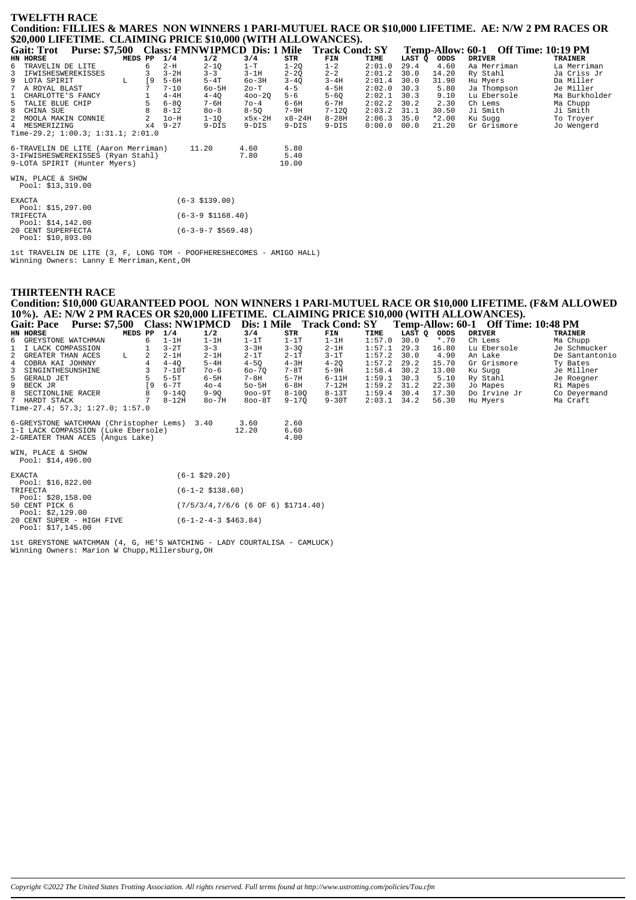## **TWELFTH RACE** Condition: FILLIES & MARES NON WINNERS 1 PARI-MUTUEL RACE OR \$10,000 LIFETIME. AE: N/W 2 PM RACES OR \$20,000 LIFETIME. CLAIMING PRICE \$10,000 (WITH ALLOWANCES).

| <b>Purse: \$7,500</b><br><b>Gait: Trot</b> | Class: FMNW1PMCD Dis: 1 Mile Track Cond: SY |            |            |           |        |        |         | Temp-Allow: 60-1 Off Time: 10:19 PM |                |
|--------------------------------------------|---------------------------------------------|------------|------------|-----------|--------|--------|---------|-------------------------------------|----------------|
| HN HORSE<br>MEDS PP                        | 1/4<br>1/2                                  | 3/4        | STR        | FIN       | TIME   | LAST Q | ODDS    | <b>DRIVER</b>                       | <b>TRAINER</b> |
| 6<br>TRAVELIN DE LITE<br>6                 | $2-H$<br>$2 - 1Q$                           | $1-T$      | $1 - 2Q$   | $1 - 2$   | 2:01.0 | 29.4   | 4.60    | Aa Merriman                         | La Merriman    |
| 3<br>IFWISHESWEREKISSES                    | $3 - 3$<br>$3-2H$                           | $3 - 1H$   | $2 - 2Q$   | $2 - 2$   | 2:01.2 | 30.0   | 14.20   | Ry Stahl                            | Ja Criss Jr    |
| LOTA SPIRIT<br><b>19</b><br>9<br>L         | $5 - 6H$<br>$5-4T$                          | $60-3H$    | $3 - 40$   | $3 - 4H$  | 2:01.4 | 30.0   | 31.90   | Hu Myers                            | Da Miller      |
| A ROYAL BLAST                              | $7 - 10$<br>$60 - 5H$                       | $2o-T$     | $4 - 5$    | $4-5H$    | 2:02.0 | 30.3   | 5.80    | Ja Thompson                         | Je Miller      |
| CHARLOTTE'S FANCY                          | $4-4H$<br>$4 - 40$                          | $400 - 20$ | $5 - 6$    | $5 - 60$  | 2:02.1 | 30.3   | 9.10    | Lu Ebersole                         | Ma Burkholder  |
| 5 TALIE BLUE CHIP                          | $6 - 80$<br>7-6H                            | $70 - 4$   | $6 - 6H$   | $6 - 7H$  | 2:02.2 | 30.2   | 2.30    | Ch Lems                             | Ma Chupp       |
| 8 CHINA SUE                                | $8 - 12$<br>$80 - 8$                        | $8 - 50$   | 7-9H       | $7 - 120$ | 2:03.2 | 31.1   | 30.50   | Ji Smith                            | Ji Smith       |
| 2<br>2<br>MOOLA MAKIN CONNIE               | $1o-H$<br>$1 - 10$                          | x5x-2H     | $x8 - 24H$ | $8-28H$   | 2:06.3 | 35.0   | $*2.00$ | Ku Sugg                             | To Troyer      |
| 4 MESMERIZING<br>$\times 4$                | $9 - 27$<br>$9-DIS$                         | $9-DIS$    | $9-DIS$    | $9-DIS$   | 0:00.0 | 00.0   | 21.20   | Gr Grismore                         | Jo Wengerd     |
| Time-29.2; $1:00.3$ ; $1:31.1$ ; $2:01.0$  |                                             |            |            |           |        |        |         |                                     |                |
|                                            |                                             |            |            |           |        |        |         |                                     |                |
| 6-TRAVELIN DE LITE (Aaron Merriman)        | 11.20                                       | 4.60       | 5.80       |           |        |        |         |                                     |                |
| 3-IFWISHESWEREKISSES (Ryan Stahl)          |                                             | 7.80       | 5.40       |           |        |        |         |                                     |                |
| 9-LOTA SPIRIT (Hunter Myers)               |                                             |            | 10.00      |           |        |        |         |                                     |                |
|                                            |                                             |            |            |           |        |        |         |                                     |                |
| WIN, PLACE & SHOW                          |                                             |            |            |           |        |        |         |                                     |                |
| Pool: $$13,319.00$                         |                                             |            |            |           |        |        |         |                                     |                |
| EXACTA                                     | $(6-3 \; $139.00)$                          |            |            |           |        |        |         |                                     |                |
| Pool: $$15,297.00$                         |                                             |            |            |           |        |        |         |                                     |                |
| TRIFECTA                                   | $(6-3-9 \; $1168.40)$                       |            |            |           |        |        |         |                                     |                |
| Pool: $$14,142.00$                         |                                             |            |            |           |        |        |         |                                     |                |
| 20 CENT SUPERFECTA                         | $(6-3-9-7$ \$569.48)                        |            |            |           |        |        |         |                                     |                |
| Pool: \$10,893.00                          |                                             |            |            |           |        |        |         |                                     |                |

1st TRAVELIN DE LITE (3, F, LONG TOM - POOFHERESHECOMES - AMIGO HALL)<br>Winning Owners: Lanny E Merriman, Kent, OH

# **THIRTEENTH RACE**

Condition: \$10,000 GUARANTEED POOL NON WINNERS 1 PARI-MUTUEL RACE OR \$10,000 LIFETIME. (F&M ALLOWED<br>10%). AE: N/W 2 PM RACES OR \$20,000 LIFETIME. CLAIMING PRICE \$10,000 (WITH ALLOWANCES).<br>Gait: Pace Purse: \$7.500 Class: NW

| Gail: Face                      | <b>FUISE: 57,500 CIASS: INVELITION</b> |         |    |           |          | DIS, 1 IVINE |           | - LTACK CONG: 5 L |               |        |         | Temp-Anow: 00-1   On Thine: 10:40 FM |                |
|---------------------------------|----------------------------------------|---------|----|-----------|----------|--------------|-----------|-------------------|---------------|--------|---------|--------------------------------------|----------------|
| HN HORSE                        |                                        | MEDS PP |    | 1/4       | 1/2      | 3/4          | STR       | FIN               | TIME          | LAST O | ODDS    | DRIVER                               | TRAINER        |
| 6 GREYSTONE WATCHMAN            |                                        |         | 6. | $1-1H$    | $1-1H$   | $1-1T$       | $1-1T$    | 1-1H              | 1:57.0        | 30.0   | $*$ .70 | Ch Lems                              | Ma Chupp       |
| 1 I LACK COMPASSION             |                                        |         |    | $3-2T$    | $3 - 3$  | $3 - 3H$     | $3 - 30$  | $2-1H$            | 1:57.1        | 29.3   | 16.80   | Lu Ebersole                          | Je Schmucker   |
| 2 GREATER THAN ACES             |                                        | T.      |    | $2 - 1$ H | $2 - 1H$ | $2 - 1T$     | $2 - 1T$  | $3 - 1T$          | 1:57.2        | 30.0   | 4.90    | An Lake                              | De Santantonio |
| 4 COBRA KAI JOHNNY              |                                        |         |    | $4 - 40$  | $5 - 4H$ | $4 - 50$     | $4 - 3H$  | $4 - 20$          | 1:57.2        | 29.2   | 15.70   | Gr Grismore                          | Ty Bates       |
| 3 SINGINTHESUNSHINE             |                                        |         |    | $7 - 10T$ | $70 - 6$ | 60-70        | $7 - 8T$  | $5-9H$            | 1:58.4        | 30.2   | 13.00   | Ku Suaa                              | Je Millner     |
| 5 GERALD JET                    |                                        |         |    | $5 - 5T$  | $6 - 5H$ | $7 - 8H$     | $5 - 7H$  | $6-11H$           | $1:59.1$ 30.3 |        | 5.10    | Ry Stahl                             | Je Roegner     |
| 9 BECK JR                       |                                        |         | 9  | $6 - 7T$  | $40 - 4$ | $50 - 5H$    | $6 - 8H$  | $7 - 12H$         | 1:59.2        | 31.2   | 22.30   | Jo Mapes                             | Ri Mapes       |
| 8 SECTIONLINE RACER             |                                        |         |    | $9 - 140$ | $9 - 90$ | $900-9T$     | $8 - 100$ | $8-13T$           | 1:59.4        | 30.4   | 17.30   | Do Irvine Jr                         | Co Deyermand   |
| 7 HARDT STACK                   |                                        |         |    | $8-12H$   | $8o-7H$  | $800 - 8T$   | $9 - 170$ | $9-30T$           | $2:03.1$ 34.2 |        | 56.30   | Hu Mvers                             | Ma Craft       |
| Time-27.4; 57.3; 1:27.0; 1:57.0 |                                        |         |    |           |          |              |           |                   |               |        |         |                                      |                |

| 6-GREYSTONE WATCHMAN (Christopher Lems) 3.40 | 3.60  | 2.60 |
|----------------------------------------------|-------|------|
| 1-I LACK COMPASSION (Luke Ebersole)          | 12.20 | 6.60 |
| 2-GREATER THAN ACES (Angus Lake)             |       | 4.00 |

WIN, PLACE & SHOW<br>Pool: \$14,496.00

|                | 1001 · 711 / 190.00       |                                       |  |  |  |  |  |  |
|----------------|---------------------------|---------------------------------------|--|--|--|--|--|--|
| <b>EXACTA</b>  |                           | $(6-1$ \$29.20)                       |  |  |  |  |  |  |
|                | Pool: $$16.822.00$        |                                       |  |  |  |  |  |  |
| TRIFECTA       |                           | $(6-1-2 \; \text{S}138.60)$           |  |  |  |  |  |  |
|                | Pool: $$20.158.00$        |                                       |  |  |  |  |  |  |
| 50 CENT PICK 6 |                           | $(7/5/3/4, 7/6/6$ (6 OF 6) \$1714.40) |  |  |  |  |  |  |
|                | Pool: $$2.129.00$         |                                       |  |  |  |  |  |  |
|                | 20 CENT SUPER - HIGH FIVE | $(6-1-2-4-3 \t5463.84)$               |  |  |  |  |  |  |
|                | Pool: \$17.145.00         |                                       |  |  |  |  |  |  |

Ist GREYSTONE WATCHMAN (4, G, HE'S WATCHING - LADY COURTALISA - CAMLUCK)<br>Winning Owners: Marion W Chupp, Millersburg, OH